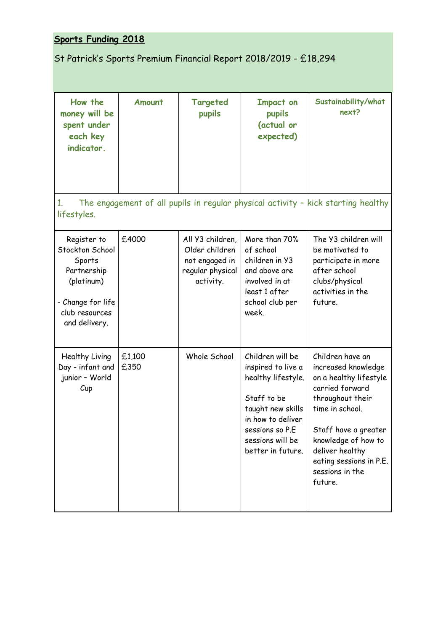## **Sports Funding 2018**

## St Patrick's Sports Premium Financial Report 2018/2019 - £18,294

| How the<br>money will be<br>spent under<br>each key                                                                           | Amount         | Targeted<br>pupils                                                                    | <b>Impact on</b><br>pupils<br>(actual or<br>expected)                                                                                                                             | Sustainability/what<br>next?                                                                                                                                                                                                                           |
|-------------------------------------------------------------------------------------------------------------------------------|----------------|---------------------------------------------------------------------------------------|-----------------------------------------------------------------------------------------------------------------------------------------------------------------------------------|--------------------------------------------------------------------------------------------------------------------------------------------------------------------------------------------------------------------------------------------------------|
| indicator.                                                                                                                    |                |                                                                                       |                                                                                                                                                                                   |                                                                                                                                                                                                                                                        |
| 1.<br>lifestyles.                                                                                                             |                |                                                                                       |                                                                                                                                                                                   | The engagement of all pupils in regular physical activity - kick starting healthy                                                                                                                                                                      |
| Register to<br>Stockton School<br>Sports<br>Partnership<br>(platinum)<br>- Change for life<br>club resources<br>and delivery. | £4000          | All Y3 children,<br>Older children<br>not engaged in<br>regular physical<br>activity. | More than 70%<br>of school<br>children in Y3<br>and above are<br>involved in at<br>least 1 after<br>school club per<br>week.                                                      | The Y3 children will<br>be motivated to<br>participate in more<br>after school<br>clubs/physical<br>activities in the<br>future.                                                                                                                       |
| Healthy Living<br>Day - infant and<br>junior - World<br>Cup                                                                   | £1,100<br>£350 | Whole School                                                                          | Children will be<br>inspired to live a<br>healthy lifestyle.<br>Staff to be<br>taught new skills<br>in how to deliver<br>sessions so P.E<br>sessions will be<br>better in future. | Children have an<br>increased knowledge<br>on a healthy lifestyle<br>carried forward<br>throughout their<br>time in school.<br>Staff have a greater<br>knowledge of how to<br>deliver healthy<br>eating sessions in P.E.<br>sessions in the<br>future. |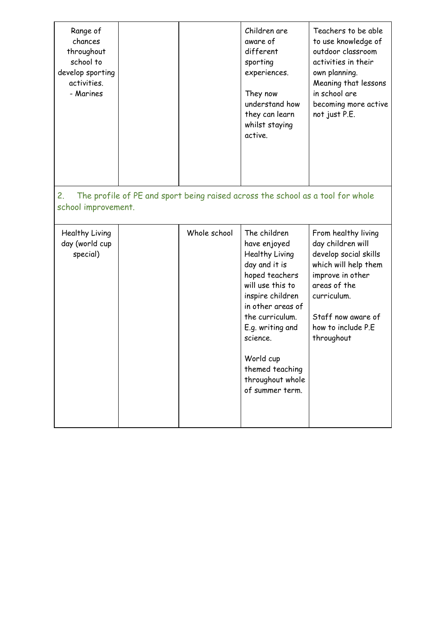| Range of<br>chances<br>throughout<br>school to<br>develop sporting<br>activities.<br>- Marines              |  |              | Children are<br>aware of<br>different<br>sporting<br>experiences.<br>They now<br>understand how<br>they can learn<br>whilst staying<br>active.                                                                                                                           | Teachers to be able<br>to use knowledge of<br>outdoor classroom<br>activities in their<br>own planning.<br>Meaning that lessons<br>in school are<br>becoming more active<br>not just P.E.              |
|-------------------------------------------------------------------------------------------------------------|--|--------------|--------------------------------------------------------------------------------------------------------------------------------------------------------------------------------------------------------------------------------------------------------------------------|--------------------------------------------------------------------------------------------------------------------------------------------------------------------------------------------------------|
| The profile of PE and sport being raised across the school as a tool for whole<br>2.<br>school improvement. |  |              |                                                                                                                                                                                                                                                                          |                                                                                                                                                                                                        |
| Healthy Living<br>day (world cup<br>special)                                                                |  | Whole school | The children<br>have enjoyed<br>Healthy Living<br>day and it is<br>hoped teachers<br>will use this to<br>inspire children<br>in other areas of<br>the curriculum.<br>E.g. writing and<br>science.<br>World cup<br>themed teaching<br>throughout whole<br>of summer term. | From healthy living<br>day children will<br>develop social skills<br>which will help them<br>improve in other<br>areas of the<br>curriculum.<br>Staff now aware of<br>how to include P.E<br>throughout |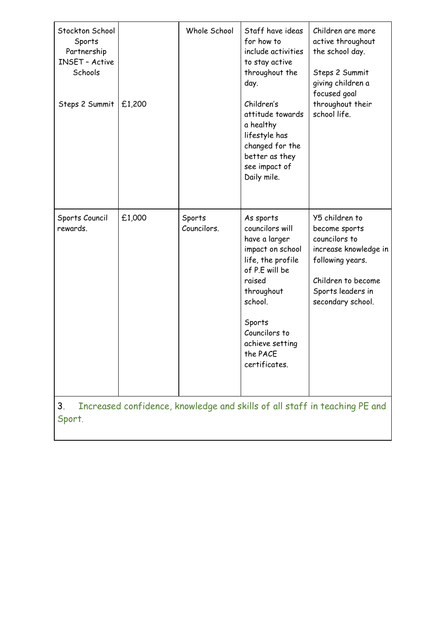| Stockton School<br>Sports<br>Partnership<br><b>INSET - Active</b><br>Schools<br>Steps 2 Summit | £1,200 | Whole School          | Staff have ideas<br>for how to<br>include activities<br>to stay active<br>throughout the<br>day.<br>Children's<br>attitude towards<br>a healthy<br>lifestyle has<br>changed for the<br>better as they<br>see impact of<br>Daily mile. | Children are more<br>active throughout<br>the school day.<br>Steps 2 Summit<br>giving children a<br>focused goal<br>throughout their<br>school life.          |
|------------------------------------------------------------------------------------------------|--------|-----------------------|---------------------------------------------------------------------------------------------------------------------------------------------------------------------------------------------------------------------------------------|---------------------------------------------------------------------------------------------------------------------------------------------------------------|
| Sports Council<br>rewards.                                                                     | £1,000 | Sports<br>Councilors. | As sports<br>councilors will<br>have a larger<br>impact on school<br>life, the profile<br>of P.E will be<br>raised<br>throughout<br>school.<br>Sports<br>Councilors to<br>achieve setting<br>the PACE<br>certificates.                | Y5 children to<br>become sports<br>councilors to<br>increase knowledge in<br>following years.<br>Children to become<br>Sports leaders in<br>secondary school. |
| Increased confidence, knowledge and skills of all staff in teaching PE and<br>3.<br>Sport.     |        |                       |                                                                                                                                                                                                                                       |                                                                                                                                                               |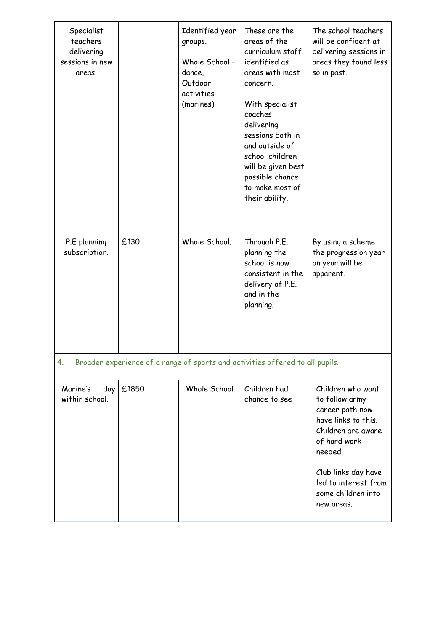| Specialist<br>teachers<br>delivering<br>sessions in new<br>areas.                   |       | Identified year<br>groups.<br>Whole School -<br>dance,<br>Outdoor<br>activities<br>(marines) | These are the<br>areas of the<br>curriculum staff<br>identified as<br>areas with most<br>concern.<br>With specialist<br>coaches<br>delivering<br>sessions both in<br>and outside of<br>school children<br>will be given best<br>possible chance<br>to make most of<br>their ability. | The school teachers<br>will be confident at<br>delivering sessions in<br>areas they found less<br>so in past.                                                                                                     |  |
|-------------------------------------------------------------------------------------|-------|----------------------------------------------------------------------------------------------|--------------------------------------------------------------------------------------------------------------------------------------------------------------------------------------------------------------------------------------------------------------------------------------|-------------------------------------------------------------------------------------------------------------------------------------------------------------------------------------------------------------------|--|
| P.E planning<br>subscription.                                                       | £130  | Whole School.                                                                                | Through P.E.<br>planning the<br>school is now<br>consistent in the<br>delivery of P.E.<br>and in the<br>planning.                                                                                                                                                                    | By using a scheme<br>the progression year<br>on year will be<br>apparent.                                                                                                                                         |  |
| Broader experience of a range of sports and activities offered to all pupils.<br>4. |       |                                                                                              |                                                                                                                                                                                                                                                                                      |                                                                                                                                                                                                                   |  |
| Marine's<br>day<br>within school.                                                   | £1850 | Whole School                                                                                 | Children had<br>chance to see                                                                                                                                                                                                                                                        | Children who want<br>to follow army<br>career path now<br>have links to this.<br>Children are aware<br>of hard work<br>needed.<br>Club links day have<br>led to interest from<br>some children into<br>new areas. |  |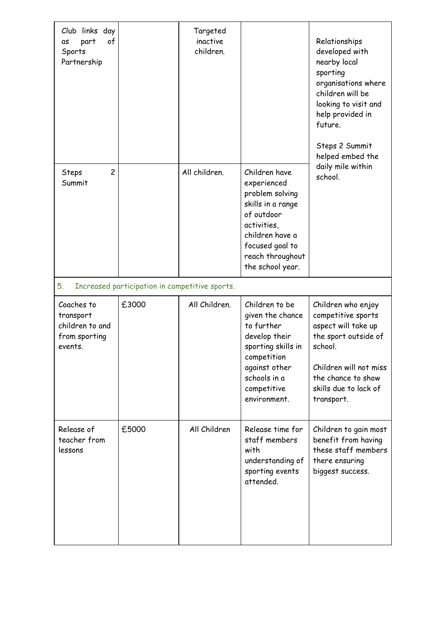| Club links day<br>of<br>part<br>as<br>Sports<br>Partnership            |                                                | Targeted<br>inactive<br>children. |                                                                                                                                                                                 | Relationships<br>developed with<br>nearby local<br>sporting<br>organisations where<br>children will be<br>looking to visit and<br>help provided in<br>future.<br>Steps 2 Summit<br>helped embed the<br>daily mile within<br>school. |
|------------------------------------------------------------------------|------------------------------------------------|-----------------------------------|---------------------------------------------------------------------------------------------------------------------------------------------------------------------------------|-------------------------------------------------------------------------------------------------------------------------------------------------------------------------------------------------------------------------------------|
| $\overline{c}$<br>Steps<br>Summit                                      |                                                | All children.                     | Children have<br>experienced<br>problem solving<br>skills in a range<br>of outdoor<br>activities,<br>children have a<br>focused goal to<br>reach throughout<br>the school year. |                                                                                                                                                                                                                                     |
| 5.                                                                     | Increased participation in competitive sports. |                                   |                                                                                                                                                                                 |                                                                                                                                                                                                                                     |
| Coaches to<br>transport<br>children to and<br>from sporting<br>events. | £3000                                          | All Children.                     | Children to be<br>given the chance<br>to further<br>develop their<br>sporting skills in<br>competition<br>against other<br>schools in a<br>competitive<br>environment.          | Children who enjoy<br>competitive sports<br>aspect will take up<br>the sport outside of<br>school.<br>Children will not miss<br>the chance to show<br>skills due to lack of<br>transport.                                           |
| Release of<br>teacher from<br>lessons                                  | £5000                                          | All Children                      | Release time for<br>staff members<br>with<br>understanding of<br>sporting events<br>attended.                                                                                   | Children to gain most<br>benefit from having<br>these staff members<br>there ensuring<br>biggest success.                                                                                                                           |